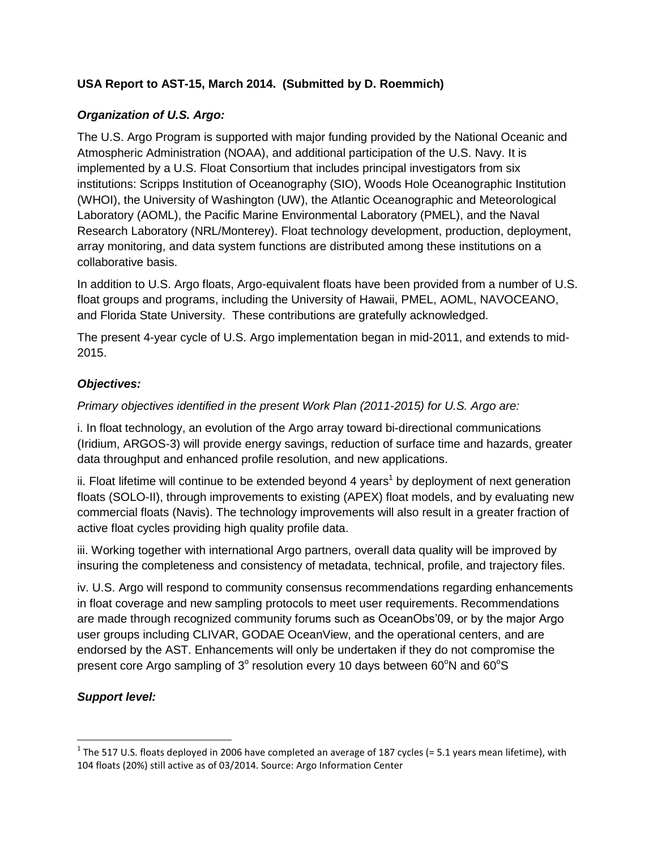# **USA Report to AST-15, March 2014. (Submitted by D. Roemmich)**

### *Organization of U.S. Argo:*

The U.S. Argo Program is supported with major funding provided by the National Oceanic and Atmospheric Administration (NOAA), and additional participation of the U.S. Navy. It is implemented by a U.S. Float Consortium that includes principal investigators from six institutions: Scripps Institution of Oceanography (SIO), Woods Hole Oceanographic Institution (WHOI), the University of Washington (UW), the Atlantic Oceanographic and Meteorological Laboratory (AOML), the Pacific Marine Environmental Laboratory (PMEL), and the Naval Research Laboratory (NRL/Monterey). Float technology development, production, deployment, array monitoring, and data system functions are distributed among these institutions on a collaborative basis.

In addition to U.S. Argo floats, Argo-equivalent floats have been provided from a number of U.S. float groups and programs, including the University of Hawaii, PMEL, AOML, NAVOCEANO, and Florida State University. These contributions are gratefully acknowledged.

The present 4-year cycle of U.S. Argo implementation began in mid-2011, and extends to mid-2015.

#### *Objectives:*

*Primary objectives identified in the present Work Plan (2011-2015) for U.S. Argo are:*

i. In float technology, an evolution of the Argo array toward bi-directional communications (Iridium, ARGOS-3) will provide energy savings, reduction of surface time and hazards, greater data throughput and enhanced profile resolution, and new applications.

ii. Float lifetime will continue to be extended beyond 4 years<sup>1</sup> by deployment of next generation floats (SOLO-II), through improvements to existing (APEX) float models, and by evaluating new commercial floats (Navis). The technology improvements will also result in a greater fraction of active float cycles providing high quality profile data.

iii. Working together with international Argo partners, overall data quality will be improved by insuring the completeness and consistency of metadata, technical, profile, and trajectory files.

iv. U.S. Argo will respond to community consensus recommendations regarding enhancements in float coverage and new sampling protocols to meet user requirements. Recommendations are made through recognized community forums such as OceanObs'09, or by the major Argo user groups including CLIVAR, GODAE OceanView, and the operational centers, and are endorsed by the AST. Enhancements will only be undertaken if they do not compromise the present core Argo sampling of 3 $^{\circ}$  resolution every 10 days between 60 $^{\circ}$ N and 60 $^{\circ}$ S

## *Support level:*

l

<sup>&</sup>lt;sup>1</sup> The 517 U.S. floats deployed in 2006 have completed an average of 187 cycles (= 5.1 years mean lifetime), with 104 floats (20%) still active as of 03/2014. Source: Argo Information Center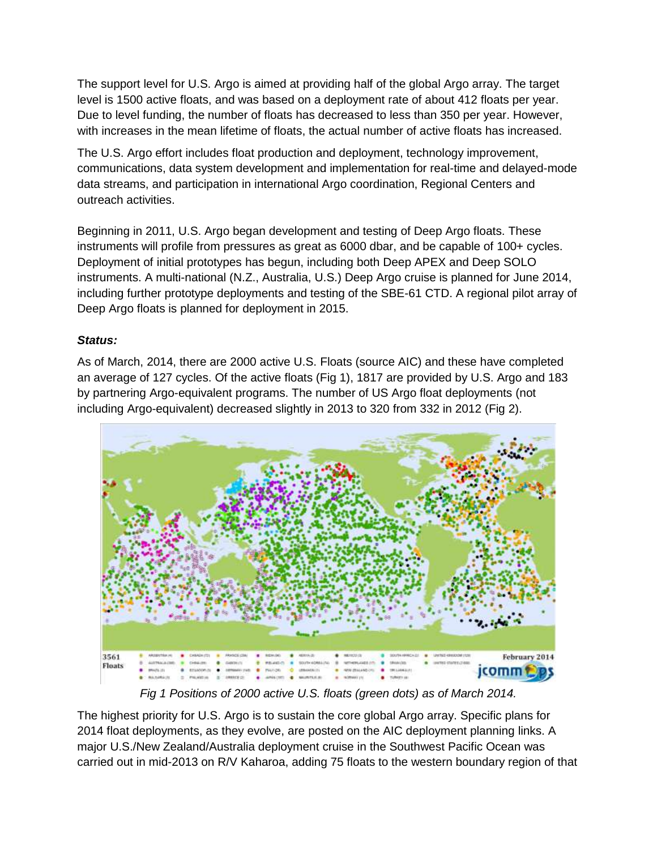The support level for U.S. Argo is aimed at providing half of the global Argo array. The target level is 1500 active floats, and was based on a deployment rate of about 412 floats per year. Due to level funding, the number of floats has decreased to less than 350 per year. However, with increases in the mean lifetime of floats, the actual number of active floats has increased.

The U.S. Argo effort includes float production and deployment, technology improvement, communications, data system development and implementation for real-time and delayed-mode data streams, and participation in international Argo coordination, Regional Centers and outreach activities.

Beginning in 2011, U.S. Argo began development and testing of Deep Argo floats. These instruments will profile from pressures as great as 6000 dbar, and be capable of 100+ cycles. Deployment of initial prototypes has begun, including both Deep APEX and Deep SOLO instruments. A multi-national (N.Z., Australia, U.S.) Deep Argo cruise is planned for June 2014, including further prototype deployments and testing of the SBE-61 CTD. A regional pilot array of Deep Argo floats is planned for deployment in 2015.

## *Status:*

As of March, 2014, there are 2000 active U.S. Floats (source AIC) and these have completed an average of 127 cycles. Of the active floats (Fig 1), 1817 are provided by U.S. Argo and 183 by partnering Argo-equivalent programs. The number of US Argo float deployments (not including Argo-equivalent) decreased slightly in 2013 to 320 from 332 in 2012 (Fig 2).



*Fig 1 Positions of 2000 active U.S. floats (green dots) as of March 2014.*

The highest priority for U.S. Argo is to sustain the core global Argo array. Specific plans for 2014 float deployments, as they evolve, are posted on the AIC deployment planning links. A major U.S./New Zealand/Australia deployment cruise in the Southwest Pacific Ocean was carried out in mid-2013 on R/V Kaharoa, adding 75 floats to the western boundary region of that